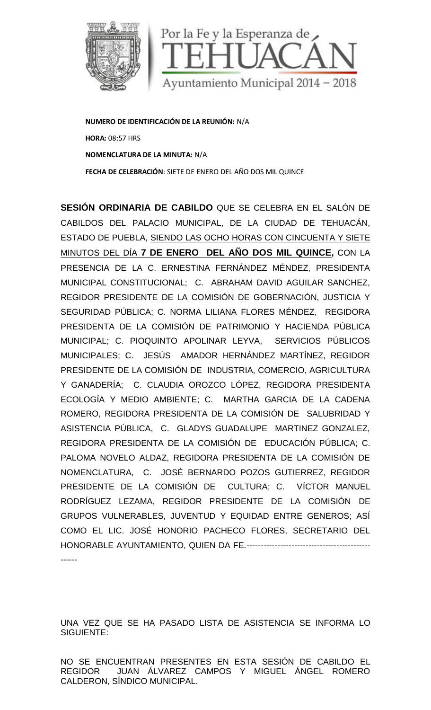

**NUMERO DE IDENTIFICACIÓN DE LA REUNIÓN:** N/A **HORA:** 08:57 HRS **NOMENCLATURA DE LA MINUTA:** N/A **FECHA DE CELEBRACIÓN**: SIETE DE ENERO DELAÑO DOS MIL QUINCE

**SESIÓN ORDINARIA DE CABILDO** QUE SE CELEBRA EN EL SALÓN DE CABILDOS DEL PALACIO MUNICIPAL, DE LA CIUDAD DE TEHUACÁN, ESTADO DE PUEBLA, SIENDO LAS OCHO HORAS CON CINCUENTA Y SIETE MINUTOS DEL DÍA **7 DE ENERO DEL AÑO DOS MIL QUINCE,** CON LA PRESENCIA DE LA C. ERNESTINA FERNÁNDEZ MÉNDEZ, PRESIDENTA MUNICIPAL CONSTITUCIONAL; C. ABRAHAM DAVID AGUILAR SANCHEZ, REGIDOR PRESIDENTE DE LA COMISIÓN DE GOBERNACIÓN, JUSTICIA Y SEGURIDAD PÚBLICA; C. NORMA LILIANA FLORES MÉNDEZ, REGIDORA PRESIDENTA DE LA COMISIÓN DE PATRIMONIO Y HACIENDA PÚBLICA MUNICIPAL; C. PIOQUINTO APOLINAR LEYVA, SERVICIOS PÚBLICOS MUNICIPALES; C. JESÚS AMADOR HERNÁNDEZ MARTÍNEZ, REGIDOR PRESIDENTE DE LA COMISIÓN DE INDUSTRIA, COMERCIO, AGRICULTURA Y GANADERÍA; C. CLAUDIA OROZCO LÓPEZ, REGIDORA PRESIDENTA ECOLOGÍA Y MEDIO AMBIENTE; C. MARTHA GARCIA DE LA CADENA ROMERO, REGIDORA PRESIDENTA DE LA COMISIÓN DE SALUBRIDAD Y ASISTENCIA PÚBLICA, C. GLADYS GUADALUPE MARTINEZ GONZALEZ, REGIDORA PRESIDENTA DE LA COMISIÓN DE EDUCACIÓN PÚBLICA; C. PALOMA NOVELO ALDAZ, REGIDORA PRESIDENTA DE LA COMISIÓN DE NOMENCLATURA, C. JOSÉ BERNARDO POZOS GUTIERREZ, REGIDOR PRESIDENTE DE LA COMISIÓN DE CULTURA; C. VÍCTOR MANUEL RODRÍGUEZ LEZAMA, REGIDOR PRESIDENTE DE LA COMISIÓN DE GRUPOS VULNERABLES, JUVENTUD Y EQUIDAD ENTRE GENEROS; ASÍ COMO EL LIC. JOSÉ HONORIO PACHECO FLORES, SECRETARIO DEL HONORABLE AYUNTAMIENTO, QUIEN DA FE.-------------------------------------------- ------ LA SE DE LA COMERCIO COMERCIO, AGRICULTURA<br>
SE CARRACIÓN: SIFTE DE FNERO DEL AÑO DOS MILQUINCE<br>
PULA ACIO MUNICIPAL, DE LA CIUDAD DE TEHUAÇÂN,<br>
PULA ACIO MUNICIPAL, DE LA CIUDAD DE TEHUAÇÂN,<br>
PULEBLA, SIEMDO LAS OCHO HORAS PAL CONSTITUCIONAL; C. ABRAHAM DAVID AGUILAR SANCHEZ,<br>
R PRESIDENTE DE LA COMISIÓN DE PATRIMONIO Y HACIENDA PÚBLICA<br>
ENTA DE LA COMISIÓN DE PATRIMONIO Y HACIENDA PÚBLICA<br>
PALES; C. JESÚS AMADOR HERNÁNDEZ MARTÍNEZ, REGIDOR<br>

UNA VEZ QUE SE HA PASADO LISTA DE ASISTENCIA SE INFORMA LO SIGUIENTE:

NO SE ENCUENTRAN PRESENTES EN ESTA SESIÓN DE CABILDO EL REGIDOR JUAN ÁLVAREZ CAMPOS Y MIGUEL ÁNGEL ROMERO CALDERON, SÍNDICO MUNICIPAL.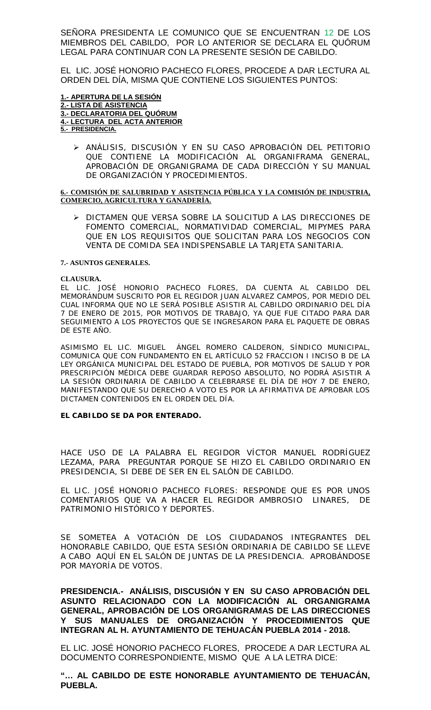SEÑORA PRESIDENTA LE COMUNICO QUE SE ENCUENTRAN 12 DE LOS MIEMBROS DEL CABILDO, POR LO ANTERIOR SE DECLARA EL QUÓRUM LEGAL PARA CONTINUAR CON LA PRESENTE SESIÓN DE CABILDO.

EL LIC. JOSÉ HONORIO PACHECO FLORES, PROCEDE A DAR LECTURA AL ORDEN DEL DÍA, MISMA QUE CONTIENE LOS SIGUIENTES PUNTOS:

#### **1.- APERTURA DE LA SESIÓN 2.- LISTA DE ASISTENCIA 3.- DECLARATORIA DEL QUÓRUM 4.- LECTURA DEL ACTA ANTERIOR 5.- PRESIDENCIA.**

 ANÁLISIS, DISCUSIÓN Y EN SU CASO APROBACIÓN DEL PETITORIO QUE CONTIENE LA MODIFICACIÓN AL ORGANIFRAMA GENERAL, APROBACIÓN DE ORGANIGRAMA DE CADA DIRECCIÓN Y SU MANUAL DE ORGANIZACIÓN Y PROCEDIMIENTOS.

#### **6.- COMISIÓN DE SALUBRIDAD Y ASISTENCIA PÚBLICA Y LA COMISIÓN DE INDUSTRIA, COMERCIO, AGRICULTURA Y GANADERÍA.**

 DICTAMEN QUE VERSA SOBRE LA SOLICITUD A LAS DIRECCIONES DE FOMENTO COMERCIAL, NORMATIVIDAD COMERCIAL, MIPYMES PARA QUE EN LOS REQUISITOS QUE SOLICITAN PARA LOS NEGOCIOS CON VENTA DE COMIDA SEA INDISPENSABLE LA TARJETA SANITARIA.

#### **7.- ASUNTOS GENERALES.**

**CLAUSURA.**

EL LIC. JOSÉ HONORIO PACHECO FLORES, DA CUENTA AL CABILDO DEL MEMORÁNDUM SUSCRITO POR EL REGIDOR JUAN ALVAREZ CAMPOS, POR MEDIO DEL CUAL INFORMA QUE NO LE SERÁ POSIBLE ASISTIR AL CABILDO ORDINARIO DEL DÍA 7 DE ENERO DE 2015, POR MOTIVOS DE TRABAJO, YA QUE FUE CITADO PARA DAR SEGUIMIENTO A LOS PROYECTOS QUE SE INGRESARON PARA EL PAQUETE DE OBRAS DE ESTE AÑO.

ASIMISMO EL LIC. MIGUEL ÁNGEL ROMERO CALDERON, SÍNDICO MUNICIPAL, COMUNICA QUE CON FUNDAMENTO EN EL ARTÍCULO 52 FRACCION I INCISO B DE LA LEY ORGÁNICA MUNICIPAL DEL ESTADO DE PUEBLA, POR MOTIVOS DE SALUD Y POR PRESCRIPCIÓN MÉDICA DEBE GUARDAR REPOSO ABSOLUTO, NO PODRÁ ASISTIR A LA SESIÓN ORDINARIA DE CABILDO A CELEBRARSE EL DÍA DE HOY 7 DE ENERO, MANIFESTANDO QUE SU DERECHO A VOTO ES POR LA AFIRMATIVA DE APROBAR LOS DICTAMEN CONTENIDOS EN EL ORDEN DEL DÍA.

**EL CABILDO SE DA POR ENTERADO.**

HACE USO DE LA PALABRA EL REGIDOR VÍCTOR MANUEL RODRÍGUEZ LEZAMA, PARA PREGUNTAR PORQUE SE HIZO EL CABILDO ORDINARIO EN PRESIDENCIA, SI DEBE DE SER EN EL SALÓN DE CABILDO.

EL LIC. JOSÉ HONORIO PACHECO FLORES: RESPONDE QUE ES POR UNOS COMENTARIOS QUE VA A HACER EL REGIDOR AMBROSIO LINARES, DE PATRIMONIO HISTÓRICO Y DEPORTES.

SE SOMETEA A VOTACIÓN DE LOS CIUDADANOS INTEGRANTES DEL HONORABLE CABILDO, QUE ESTA SESIÓN ORDINARIA DE CABILDO SE LLEVE A CABO AQUÍ EN EL SALÓN DE JUNTAS DE LA PRESIDENCIA. APROBÁNDOSE POR MAYORÍA DE VOTOS.

**PRESIDENCIA.- ANÁLISIS, DISCUSIÓN Y EN SU CASO APROBACIÓN DEL ASUNTO RELACIONADO CON LA MODIFICACIÓN AL ORGANIGRAMA GENERAL, APROBACIÓN DE LOS ORGANIGRAMAS DE LAS DIRECCIONES Y SUS MANUALES DE ORGANIZACIÓN Y PROCEDIMIENTOS QUE INTEGRAN AL H. AYUNTAMIENTO DE TEHUACÁN PUEBLA 2014 - 2018.**

EL LIC. JOSÉ HONORIO PACHECO FLORES, PROCEDE A DAR LECTURA AL DOCUMENTO CORRESPONDIENTE, MISMO QUE A LA LETRA DICE:

**"… AL CABILDO DE ESTE HONORABLE AYUNTAMIENTO DE TEHUACÁN, PUEBLA.**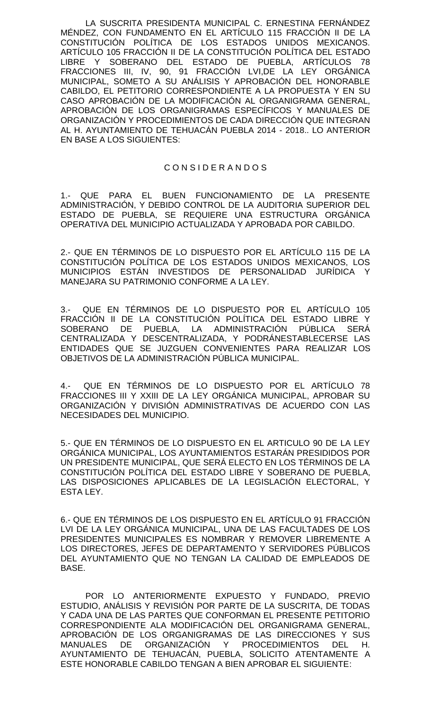LA SUSCRITA PRESIDENTA MUNICIPAL C. ERNESTINA FERNÁNDEZ MÉNDEZ, CON FUNDAMENTO EN EL ARTÍCULO 115 FRACCIÓN II DE LA CONSTITUCIÓN POLÍTICA DE LOS ESTADOS UNIDOS MEXICANOS. ARTÍCULO 105 FRACCIÓN II DE LA CONSTITUCIÓN POLÍTICA DEL ESTADO LIBRE Y SOBERANO DEL ESTADO DE PUEBLA, ARTÍCULOS 78 FRACCIONES III, IV, 90, 91 FRACCIÓN LVI,DE LA LEY ORGÁNICA MUNICIPAL, SOMETO A SU ANÁLISIS Y APROBACIÓN DEL HONORABLE CABILDO, EL PETITORIO CORRESPONDIENTE A LA PROPUESTA Y EN SU CASO APROBACIÓN DE LA MODIFICACIÓN AL ORGANIGRAMA GENERAL, APROBACIÓN DE LOS ORGANIGRAMAS ESPECÍFICOS Y MANUALES DE ORGANIZACIÓN Y PROCEDIMIENTOS DE CADA DIRECCIÓN QUE INTEGRAN AL H. AYUNTAMIENTO DE TEHUACÁN PUEBLA 2014 - 2018.. LO ANTERIOR EN BASE A LOS SIGUIENTES:

#### C O N S I D E R A N D O S

1.- QUE PARA EL BUEN FUNCIONAMIENTO DE LA PRESENTE ADMINISTRACIÓN, Y DEBIDO CONTROL DE LA AUDITORIA SUPERIOR DEL ESTADO DE PUEBLA, SE REQUIERE UNA ESTRUCTURA ORGÁNICA OPERATIVA DEL MUNICIPIO ACTUALIZADA Y APROBADA POR CABILDO.

2.- QUE EN TÉRMINOS DE LO DISPUESTO POR EL ARTÍCULO 115 DE LA CONSTITUCIÓN POLÍTICA DE LOS ESTADOS UNIDOS MEXICANOS, LOS MUNICIPIOS ESTÁN INVESTIDOS DE PERSONALIDAD JURÍDICA Y MANEJARA SU PATRIMONIO CONFORME A LA LEY.

3.- QUE EN TÉRMINOS DE LO DISPUESTO POR EL ARTÍCULO 105 FRACCIÓN II DE LA CONSTITUCIÓN POLÍTICA DEL ESTADO LIBRE Y SOBERANO DE PUEBLA, LA ADMINISTRACIÓN PÚBLICA SERÁ CENTRALIZADA Y DESCENTRALIZADA, Y PODRÁNESTABLECERSE LAS ENTIDADES QUE SE JUZGUEN CONVENIENTES PARA REALIZAR LOS OBJETIVOS DE LA ADMINISTRACIÓN PÚBLICA MUNICIPAL.

4.- QUE EN TÉRMINOS DE LO DISPUESTO POR EL ARTÍCULO 78 FRACCIONES III Y XXIII DE LA LEY ORGÁNICA MUNICIPAL, APROBAR SU ORGANIZACIÓN Y DIVISIÓN ADMINISTRATIVAS DE ACUERDO CON LAS NECESIDADES DEL MUNICIPIO.

5.- QUE EN TÉRMINOS DE LO DISPUESTO EN EL ARTICULO 90 DE LA LEY ORGÁNICA MUNICIPAL, LOS AYUNTAMIENTOS ESTARÁN PRESIDIDOS POR UN PRESIDENTE MUNICIPAL, QUE SERÁ ELECTO EN LOS TÉRMINOS DE LA CONSTITUCIÓN POLÍTICA DEL ESTADO LIBRE Y SOBERANO DE PUEBLA, LAS DISPOSICIONES APLICABLES DE LA LEGISLACIÓN ELECTORAL, Y ESTA LEY.

6.- QUE EN TÉRMINOS DE LOS DISPUESTO EN EL ARTÍCULO 91 FRACCIÓN LVI DE LA LEY ORGÁNICA MUNICIPAL, UNA DE LAS FACULTADES DE LOS PRESIDENTES MUNICIPALES ES NOMBRAR Y REMOVER LIBREMENTE A LOS DIRECTORES, JEFES DE DEPARTAMENTO Y SERVIDORES PÚBLICOS DEL AYUNTAMIENTO QUE NO TENGAN LA CALIDAD DE EMPLEADOS DE BASE.

POR LO ANTERIORMENTE EXPUESTO Y FUNDADO, PREVIO ESTUDIO, ANÁLISIS Y REVISIÓN POR PARTE DE LA SUSCRITA, DE TODAS Y CADA UNA DE LAS PARTES QUE CONFORMAN EL PRESENTE PETITORIO CORRESPONDIENTE ALA MODIFICACIÓN DEL ORGANIGRAMA GENERAL, APROBACIÓN DE LOS ORGANIGRAMAS DE LAS DIRECCIONES Y SUS<br>MANUALES DE ORGANIZACIÓN Y PROCEDIMIENTOS DEL H. MANUALES DE ORGANIZACIÓN Y PROCEDIMIENTOS DEL H. AYUNTAMIENTO DE TEHUACÁN, PUEBLA, SOLICITO ATENTAMENTE A ESTE HONORABLE CABILDO TENGAN A BIEN APROBAR EL SIGUIENTE: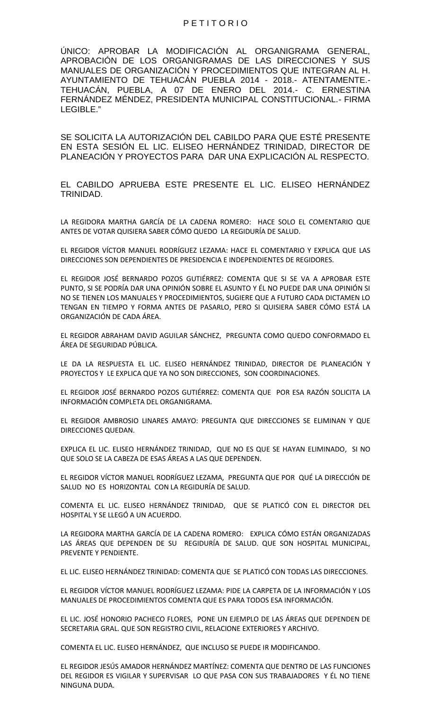#### P E T I T O R I O

ÚNICO: APROBAR LA MODIFICACIÓN AL ORGANIGRAMA GENERAL, APROBACIÓN DE LOS ORGANIGRAMAS DE LAS DIRECCIONES Y SUS MANUALES DE ORGANIZACIÓN Y PROCEDIMIENTOS QUE INTEGRAN AL H. AYUNTAMIENTO DE TEHUACÁN PUEBLA 2014 - 2018.- ATENTAMENTE.- TEHUACÁN, PUEBLA, A 07 DE ENERO DEL 2014.- C. ERNESTINA FERNÁNDEZ MÉNDEZ, PRESIDENTA MUNICIPAL CONSTITUCIONAL.- FIRMA LEGIBLE."

SE SOLICITA LA AUTORIZACIÓN DEL CABILDO PARA QUE ESTÉ PRESENTE EN ESTA SESIÓN EL LIC. ELISEO HERNÁNDEZ TRINIDAD, DIRECTOR DE PLANEACIÓN Y PROYECTOS PARA DAR UNA EXPLICACIÓN AL RESPECTO.

EL CABILDO APRUEBA ESTE PRESENTE EL LIC. ELISEO HERNÁNDEZ TRINIDAD.

LA REGIDORA MARTHA GARCÍA DE LA CADENA ROMERO: HACE SOLO EL COMENTARIO QUE ANTES DE VOTAR QUISIERA SABER CÓMO QUEDO LA REGIDURÍA DE SALUD.

EL REGIDOR VÍCTOR MANUEL RODRÍGUEZ LEZAMA: HACE EL COMENTARIO Y EXPLICA QUE LAS DIRECCIONES SON DEPENDIENTES DE PRESIDENCIA E INDEPENDIENTES DE REGIDORES.

EL REGIDOR JOSÉ BERNARDO POZOS GUTIÉRREZ: COMENTA QUE SI SE VA A APROBAR ESTE PUNTO, SI SE PODRÍA DAR UNA OPINIÓN SOBRE EL ASUNTO Y ÉL NO PUEDE DAR UNA OPINIÓN SI NO SE TIENEN LOS MANUALES Y PROCEDIMIENTOS, SUGIERE QUE A FUTURO CADA DICTAMEN LO TENGAN EN TIEMPO Y FORMA ANTES DE PASARLO, PERO SI QUISIERA SABER CÓMO ESTÁ LA ORGANIZACIÓN DE CADA ÁREA.

EL REGIDOR ABRAHAM DAVID AGUILAR SÁNCHEZ, PREGUNTA COMO QUEDO CONFORMADO EL ÁREA DE SEGURIDAD PÚBLICA.

LE DA LA RESPUESTA EL LIC. ELISEO HERNÁNDEZ TRINIDAD, DIRECTOR DE PLANEACIÓN Y PROYECTOS Y LE EXPLICA QUE YA NO SON DIRECCIONES, SON COORDINACIONES.

EL REGIDOR JOSÉ BERNARDO POZOS GUTIÉRREZ: COMENTA QUE POR ESA RAZÓN SOLICITA LA INFORMACIÓN COMPLETA DEL ORGANIGRAMA.

EL REGIDOR AMBROSIO LINARES AMAYO: PREGUNTA QUE DIRECCIONES SE ELIMINAN Y QUE DIRECCIONES QUEDAN.

EXPLICA EL LIC. ELISEO HERNÁNDEZ TRINIDAD, QUE NO ES QUE SE HAYAN ELIMINADO, SI NO QUE SOLO SE LA CABEZA DE ESAS ÁREAS A LAS QUE DEPENDEN.

EL REGIDOR VÍCTOR MANUEL RODRÍGUEZ LEZAMA, PREGUNTA QUE POR QUÉ LA DIRECCIÓN DE SALUD NO ES HORIZONTAL CON LA REGIDURÍA DE SALUD.

COMENTA EL LIC. ELISEO HERNÁNDEZ TRINIDAD, QUE SE PLATICÓ CON EL DIRECTOR DEL HOSPITAL Y SE LLEGÓ A UN ACUERDO.

LA REGIDORA MARTHA GARCÍA DE LA CADENA ROMERO: EXPLICA CÓMO ESTÁN ORGANIZADAS LAS ÁREAS QUE DEPENDEN DE SU REGIDURÍA DE SALUD. QUE SON HOSPITAL MUNICIPAL, PREVENTE Y PENDIENTE.

EL LIC. ELISEO HERNÁNDEZ TRINIDAD: COMENTA QUE SE PLATICÓ CON TODAS LAS DIRECCIONES.

EL REGIDOR VÍCTOR MANUEL RODRÍGUEZ LEZAMA: PIDE LA CARPETA DE LA INFORMACIÓN Y LOS MANUALES DE PROCEDIMIENTOS COMENTA QUE ES PARA TODOS ESA INFORMACIÓN.

EL LIC. JOSÉ HONORIO PACHECO FLORES, PONE UN EJEMPLO DE LAS ÁREAS QUE DEPENDEN DE SECRETARIA GRAL. QUE SON REGISTRO CIVIL, RELACIONE EXTERIORES Y ARCHIVO.

COMENTA EL LIC. ELISEO HERNÁNDEZ, QUE INCLUSO SE PUEDE IR MODIFICANDO.

EL REGIDOR JESÚS AMADOR HERNÁNDEZ MARTÍNEZ: COMENTA QUE DENTRO DE LAS FUNCIONES DEL REGIDOR ES VIGILAR Y SUPERVISAR LO QUE PASA CON SUS TRABAJADORES Y ÉL NO TIENE NINGUNA DUDA.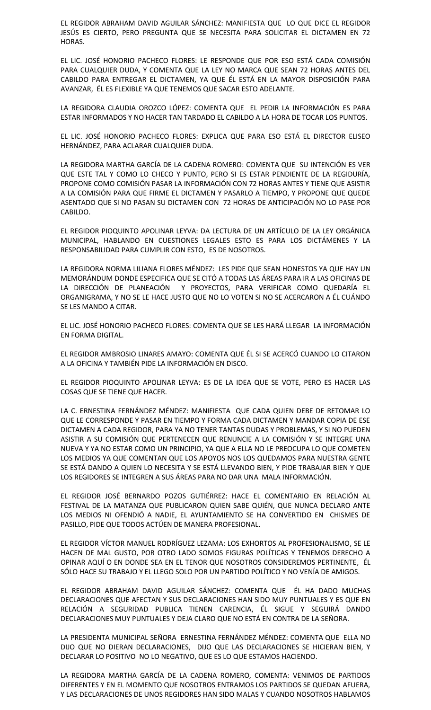EL REGIDOR ABRAHAM DAVID AGUILAR SÁNCHEZ: MANIFIESTA QUE LO QUE DICE EL REGIDOR JESÚS ES CIERTO, PERO PREGUNTA QUE SE NECESITA PARA SOLICITAR EL DICTAMEN EN 72 HORAS.

EL LIC. JOSÉ HONORIO PACHECO FLORES: LE RESPONDE QUE POR ESO ESTÁ CADA COMISIÓN PARA CUALQUIER DUDA, Y COMENTA QUE LA LEY NO MARCA QUE SEAN 72 HORAS ANTES DEL CABILDO PARA ENTREGAR EL DICTAMEN, YA QUE ÉL ESTÁ EN LA MAYOR DISPOSICIÓN PARA AVANZAR, ÉL ES FLEXIBLE YA QUE TENEMOS QUE SACAR ESTO ADELANTE.

LA REGIDORA CLAUDIA OROZCO LÓPEZ: COMENTA QUE EL PEDIR LA INFORMACIÓN ES PARA ESTAR INFORMADOS Y NO HACER TAN TARDADO EL CABILDO A LA HORA DE TOCAR LOS PUNTOS.

EL LIC. JOSÉ HONORIO PACHECO FLORES: EXPLICA QUE PARA ESO ESTÁ EL DIRECTOR ELISEO HERNÁNDEZ, PARA ACLARAR CUALQUIER DUDA.

LA REGIDORA MARTHA GARCÍA DE LA CADENA ROMERO: COMENTA QUE SU INTENCIÓN ES VER QUE ESTE TAL Y COMO LO CHECO Y PUNTO, PERO SI ES ESTAR PENDIENTE DE LA REGIDURÍA, PROPONE COMO COMISIÓN PASAR LA INFORMACIÓN CON 72 HORAS ANTES Y TIENE QUE ASISTIR A LA COMISIÓN PARA QUE FIRME EL DICTAMEN Y PASARLO A TIEMPO, Y PROPONE QUE QUEDE ASENTADO QUE SI NO PASAN SU DICTAMEN CON 72 HORAS DE ANTICIPACIÓN NO LO PASE POR CABILDO.

EL REGIDOR PIOQUINTO APOLINAR LEYVA: DA LECTURA DE UN ARTÍCULO DE LA LEY ORGÁNICA MUNICIPAL, HABLANDO EN CUESTIONES LEGALES ESTO ES PARA LOS DICTÁMENES Y LA RESPONSABILIDAD PARA CUMPLIR CON ESTO, ES DE NOSOTROS.

LA REGIDORA NORMA LILIANA FLORES MÉNDEZ: LES PIDE QUE SEAN HONESTOS YA QUE HAY UN MEMORÁNDUM DONDE ESPECIFICA QUE SE CITÓ A TODAS LAS ÁREAS PARA IR A LAS OFICINAS DE LA DIRECCIÓN DE PLANEACIÓN Y PROYECTOS, PARA VERIFICAR COMO QUEDARÍA EL ORGANIGRAMA, Y NO SE LE HACE JUSTO QUE NO LO VOTEN SI NO SE ACERCARON A ÉL CUÁNDO SE LES MANDO A CITAR.

EL LIC. JOSÉ HONORIO PACHECO FLORES: COMENTA QUE SE LES HARÁ LLEGAR LA INFORMACIÓN EN FORMA DIGITAL.

EL REGIDOR AMBROSIO LINARES AMAYO: COMENTA QUE ÉL SI SE ACERCÓ CUANDO LO CITARON A LA OFICINA Y TAMBIÉN PIDE LA INFORMACIÓN EN DISCO.

EL REGIDOR PIOQUINTO APOLINAR LEYVA: ES DE LA IDEA QUE SE VOTE, PERO ES HACER LAS COSAS QUE SE TIENE QUE HACER.

LA C. ERNESTINA FERNÁNDEZ MÉNDEZ: MANIFIESTA QUE CADA QUIEN DEBE DE RETOMAR LO QUE LE CORRESPONDE Y PASAR EN TIEMPO Y FORMA CADA DICTAMEN Y MANDAR COPIA DE ESE DICTAMEN A CADA REGIDOR, PARA YA NO TENER TANTAS DUDAS Y PROBLEMAS, Y SI NO PUEDEN ASISTIR A SU COMISIÓN QUE PERTENECEN QUE RENUNCIE A LA COMISIÓN Y SE INTEGRE UNA NUEVA Y YA NO ESTAR COMO UN PRINCIPIO, YA QUE A ELLA NO LE PREOCUPA LO QUE COMETEN LOS MEDIOS YA QUE COMENTAN QUE LOS APOYOS NOS LOS QUEDAMOS PARA NUESTRA GENTE SE ESTÁ DANDO A QUIEN LO NECESITA Y SE ESTÁ LLEVANDO BIEN, Y PIDE TRABAJAR BIEN Y QUE LOS REGIDORES SE INTEGREN A SUS ÁREAS PARA NO DAR UNA MALA INFORMACIÓN.

EL REGIDOR JOSÉ BERNARDO POZOS GUTIÉRREZ: HACE EL COMENTARIO EN RELACIÓN AL FESTIVAL DE LA MATANZA QUE PUBLICARON QUIEN SABE QUIÉN, QUE NUNCA DECLARO ANTE LOS MEDIOS NI OFENDIÓ A NADIE, EL AYUNTAMIENTO SE HA CONVERTIDO EN CHISMES DE PASILLO, PIDE QUE TODOS ACTÚEN DE MANERA PROFESIONAL.

EL REGIDOR VÍCTOR MANUEL RODRÍGUEZ LEZAMA: LOS EXHORTOS AL PROFESIONALISMO, SE LE HACEN DE MAL GUSTO, POR OTRO LADO SOMOS FIGURAS POLÍTICAS Y TENEMOS DERECHO A OPINAR AQUÍ O EN DONDE SEA EN EL TENOR QUE NOSOTROS CONSIDEREMOS PERTINENTE, ÉL SÓLO HACE SU TRABAJO Y EL LLEGO SOLO POR UN PARTIDO POLÍTICO Y NO VENÍA DE AMIGOS.

EL REGIDOR ABRAHAM DAVID AGUILAR SÁNCHEZ: COMENTA QUE ÉL HA DADO MUCHAS DECLARACIONES QUE AFECTAN Y SUS DECLARACIONES HAN SIDO MUY PUNTUALES Y ES QUE EN RELACIÓN A SEGURIDAD PUBLICA TIENEN CARENCIA, ÉL SIGUE Y SEGUIRÁ DANDO DECLARACIONES MUY PUNTUALES Y DEJA CLARO QUE NO ESTÁ EN CONTRA DE LA SEÑORA.

LA PRESIDENTA MUNICIPAL SEÑORA ERNESTINA FERNÁNDEZ MÉNDEZ: COMENTA QUE ELLA NO DIJO QUE NO DIERAN DECLARACIONES, DIJO QUE LAS DECLARACIONES SE HICIERAN BIEN, Y DECLARAR LO POSITIVO NO LO NEGATIVO, QUE ES LO QUE ESTAMOS HACIENDO.

LA REGIDORA MARTHA GARCÍA DE LA CADENA ROMERO, COMENTA: VENIMOS DE PARTIDOS DIFERENTES Y EN EL MOMENTO QUE NOSOTROS ENTRAMOS LOS PARTIDOS SE QUEDAN AFUERA, Y LAS DECLARACIONES DE UNOS REGIDORES HAN SIDO MALAS Y CUANDO NOSOTROS HABLAMOS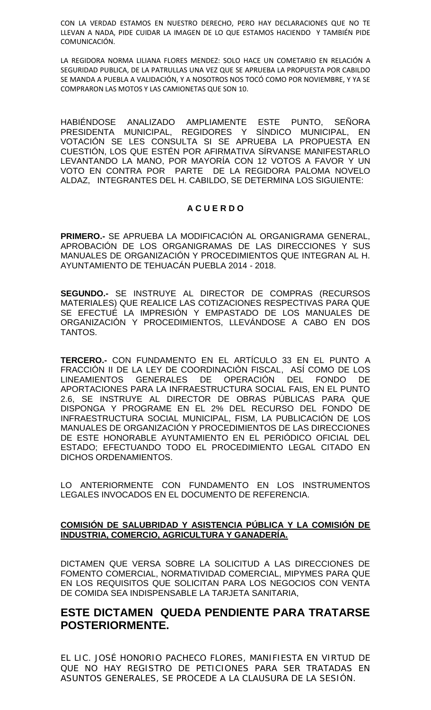CON LA VERDAD ESTAMOS EN NUESTRO DERECHO, PERO HAY DECLARACIONES QUE NO TE LLEVAN A NADA, PIDE CUIDAR LA IMAGEN DE LO QUE ESTAMOS HACIENDO Y TAMBIÉN PIDE COMUNICACIÓN.

LA REGIDORA NORMA LILIANA FLORES MENDEZ: SOLO HACE UN COMETARIO EN RELACIÓN A SEGURIDAD PUBLICA, DE LA PATRULLAS UNA VEZ QUE SE APRUEBA LA PROPUESTA POR CABILDO SE MANDA A PUEBLA A VALIDACIÓN, Y A NOSOTROS NOS TOCÓ COMO POR NOVIEMBRE, Y YA SE COMPRARON LAS MOTOS Y LAS CAMIONETAS QUE SON 10.

HABIÉNDOSE ANALIZADO AMPLIAMENTE ESTE PUNTO, SEÑORA PRESIDENTA MUNICIPAL, REGIDORES Y SÍNDICO MUNICIPAL, EN VOTACIÓN SE LES CONSULTA SI SE APRUEBA LA PROPUESTA EN CUESTIÓN, LOS QUE ESTÉN POR AFIRMATIVA SÍRVANSE MANIFESTARLO LEVANTANDO LA MANO, POR MAYORÍA CON 12 VOTOS A FAVOR Y UN VOTO EN CONTRA POR PARTE DE LA REGIDORA PALOMA NOVELO ALDAZ, INTEGRANTES DEL H. CABILDO, SE DETERMINA LOS SIGUIENTE:

### **A C U E R D O**

**PRIMERO.-** SE APRUEBA LA MODIFICACIÓN AL ORGANIGRAMA GENERAL, APROBACIÓN DE LOS ORGANIGRAMAS DE LAS DIRECCIONES Y SUS MANUALES DE ORGANIZACIÓN Y PROCEDIMIENTOS QUE INTEGRAN AL H. AYUNTAMIENTO DE TEHUACÁN PUEBLA 2014 - 2018.

**SEGUNDO.-** SE INSTRUYE AL DIRECTOR DE COMPRAS (RECURSOS MATERIALES) QUE REALICE LAS COTIZACIONES RESPECTIVAS PARA QUE SE EFECTUÉ LA IMPRESIÓN Y EMPASTADO DE LOS MANUALES DE ORGANIZACIÓN Y PROCEDIMIENTOS, LLEVÁNDOSE A CABO EN DOS TANTOS.

**TERCERO.-** CON FUNDAMENTO EN EL ARTÍCULO 33 EN EL PUNTO A FRACCIÓN II DE LA LEY DE COORDINACIÓN FISCAL, ASÍ COMO DE LOS LINEAMIENTOS GENERALES DE OPERACIÓN DEL FONDO DE APORTACIONES PARA LA INFRAESTRUCTURA SOCIAL FAIS, EN EL PUNTO 2.6, SE INSTRUYE AL DIRECTOR DE OBRAS PÚBLICAS PARA QUE DISPONGA Y PROGRAME EN EL 2% DEL RECURSO DEL FONDO DE INFRAESTRUCTURA SOCIAL MUNICIPAL, FISM, LA PUBLICACIÓN DE LOS MANUALES DE ORGANIZACIÓN Y PROCEDIMIENTOS DE LAS DIRECCIONES DE ESTE HONORABLE AYUNTAMIENTO EN EL PERIÓDICO OFICIAL DEL ESTADO; EFECTUANDO TODO EL PROCEDIMIENTO LEGAL CITADO EN DICHOS ORDENAMIENTOS.

LO ANTERIORMENTE CON FUNDAMENTO EN LOS INSTRUMENTOS LEGALES INVOCADOS EN EL DOCUMENTO DE REFERENCIA.

#### **COMISIÓN DE SALUBRIDAD Y ASISTENCIA PÚBLICA Y LA COMISIÓN DE INDUSTRIA, COMERCIO, AGRICULTURA Y GANADERÍA.**

DICTAMEN QUE VERSA SOBRE LA SOLICITUD A LAS DIRECCIONES DE FOMENTO COMERCIAL, NORMATIVIDAD COMERCIAL, MIPYMES PARA QUE EN LOS REQUISITOS QUE SOLICITAN PARA LOS NEGOCIOS CON VENTA DE COMIDA SEA INDISPENSABLE LA TARJETA SANITARIA,

# **ESTE DICTAMEN QUEDA PENDIENTE PARA TRATARSE POSTERIORMENTE.**

EL LIC. JOSÉ HONORIO PACHECO FLORES, MANIFIESTA EN VIRTUD DE QUE NO HAY REGISTRO DE PETICIONES PARA SER TRATADAS EN ASUNTOS GENERALES, SE PROCEDE A LA CLAUSURA DE LA SESIÓN.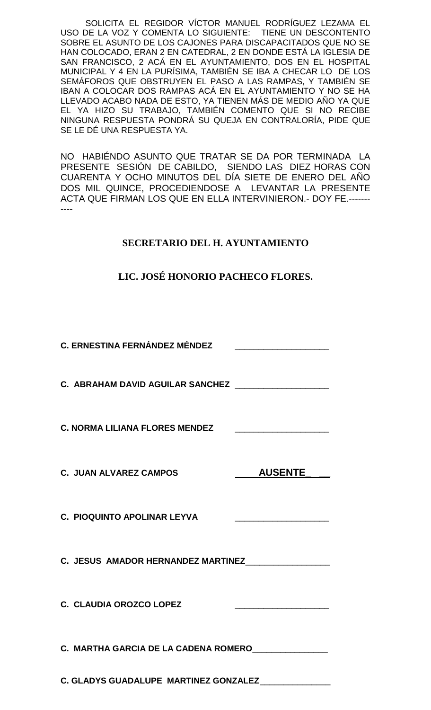SOLICITA EL REGIDOR VÍCTOR MANUEL RODRÍGUEZ LEZAMA EL USO DE LA VOZ Y COMENTA LO SIGUIENTE: TIENE UN DESCONTENTO SOBRE EL ASUNTO DE LOS CAJONES PARA DISCAPACITADOS QUE NO SE HAN COLOCADO, ERAN 2 EN CATEDRAL, 2 EN DONDE ESTÁ LA IGLESIA DE SAN FRANCISCO, 2 ACÁ EN EL AYUNTAMIENTO, DOS EN EL HOSPITAL MUNICIPAL Y 4 EN LA PURÍSIMA, TAMBIÉN SE IBA A CHECAR LO DE LOS SEMÁFOROS QUE OBSTRUYEN EL PASO A LAS RAMPAS, Y TAMBIÉN SE IBAN A COLOCAR DOS RAMPAS ACÁ EN EL AYUNTAMIENTO Y NO SE HA LLEVADO ACABO NADA DE ESTO, YA TIENEN MÁS DE MEDIO AÑO YA QUE EL YA HIZO SU TRABAJO, TAMBIÉN COMENTO QUE SI NO RECIBE NINGUNA RESPUESTA PONDRÁ SU QUEJA EN CONTRALORÍA, PIDE QUE SE LE DÉ UNA RESPUESTA YA.

NO HABIÉNDO ASUNTO QUE TRATAR SE DA POR TERMINADA LA PRESENTE SESIÓN DE CABILDO, SIENDO LAS DIEZ HORAS CON CUARENTA Y OCHO MINUTOS DEL DÍA SIETE DE ENERO DEL AÑO DOS MIL QUINCE, PROCEDIENDOSE A LEVANTAR LA PRESENTE ACTA QUE FIRMAN LOS QUE EN ELLA INTERVINIERON.- DOY FE.------- ----

## **SECRETARIO DEL H. AYUNTAMIENTO**

## **LIC. JOSÉ HONORIO PACHECO FLORES.**

| <b>C. ERNESTINA FERNÁNDEZ MÉNDEZ</b>                 |                |  |
|------------------------------------------------------|----------------|--|
| C. ABRAHAM DAVID AGUILAR SANCHEZ ___________________ |                |  |
|                                                      |                |  |
| <b>C. JUAN ALVAREZ CAMPOS</b>                        | <b>AUSENTE</b> |  |
| C. PIOQUINTO APOLINAR LEYVA                          |                |  |
| C. JESUS AMADOR HERNANDEZ MARTINEZ                   |                |  |
| C. CLAUDIA OROZCO LOPEZ                              |                |  |
| C. MARTHA GARCIA DE LA CADENA ROMERO_______________  |                |  |
| C. GLADYS GUADALUPE MARTINEZ GONZALEZ______________  |                |  |